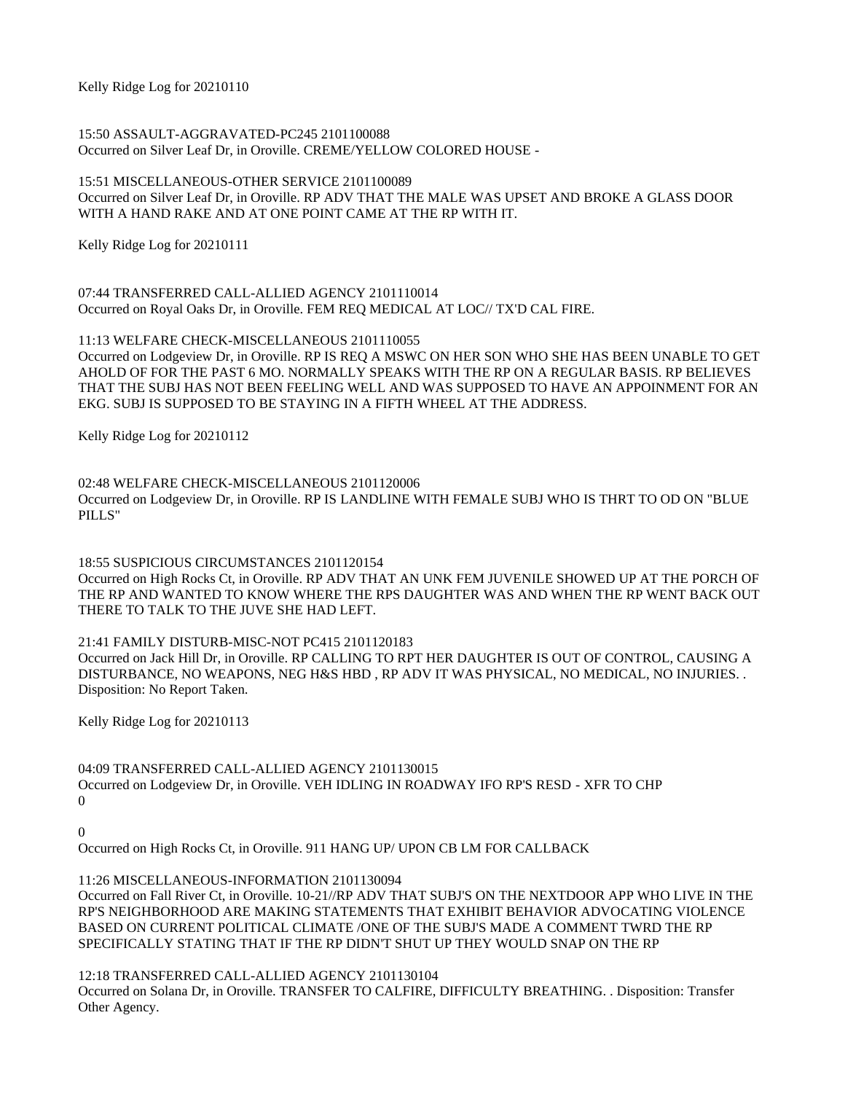Kelly Ridge Log for 20210110

15:50 ASSAULT-AGGRAVATED-PC245 2101100088 Occurred on Silver Leaf Dr, in Oroville. CREME/YELLOW COLORED HOUSE -

15:51 MISCELLANEOUS-OTHER SERVICE 2101100089 Occurred on Silver Leaf Dr, in Oroville. RP ADV THAT THE MALE WAS UPSET AND BROKE A GLASS DOOR WITH A HAND RAKE AND AT ONE POINT CAME AT THE RP WITH IT.

Kelly Ridge Log for 20210111

07:44 TRANSFERRED CALL-ALLIED AGENCY 2101110014 Occurred on Royal Oaks Dr, in Oroville. FEM REQ MEDICAL AT LOC// TX'D CAL FIRE.

11:13 WELFARE CHECK-MISCELLANEOUS 2101110055 Occurred on Lodgeview Dr, in Oroville. RP IS REQ A MSWC ON HER SON WHO SHE HAS BEEN UNABLE TO GET AHOLD OF FOR THE PAST 6 MO. NORMALLY SPEAKS WITH THE RP ON A REGULAR BASIS. RP BELIEVES THAT THE SUBJ HAS NOT BEEN FEELING WELL AND WAS SUPPOSED TO HAVE AN APPOINMENT FOR AN EKG. SUBJ IS SUPPOSED TO BE STAYING IN A FIFTH WHEEL AT THE ADDRESS.

Kelly Ridge Log for 20210112

02:48 WELFARE CHECK-MISCELLANEOUS 2101120006 Occurred on Lodgeview Dr, in Oroville. RP IS LANDLINE WITH FEMALE SUBJ WHO IS THRT TO OD ON "BLUE PILLS"

18:55 SUSPICIOUS CIRCUMSTANCES 2101120154 Occurred on High Rocks Ct, in Oroville. RP ADV THAT AN UNK FEM JUVENILE SHOWED UP AT THE PORCH OF THE RP AND WANTED TO KNOW WHERE THE RPS DAUGHTER WAS AND WHEN THE RP WENT BACK OUT THERE TO TALK TO THE JUVE SHE HAD LEFT.

21:41 FAMILY DISTURB-MISC-NOT PC415 2101120183 Occurred on Jack Hill Dr, in Oroville. RP CALLING TO RPT HER DAUGHTER IS OUT OF CONTROL, CAUSING A DISTURBANCE, NO WEAPONS, NEG H&S HBD , RP ADV IT WAS PHYSICAL, NO MEDICAL, NO INJURIES. . Disposition: No Report Taken.

Kelly Ridge Log for 20210113

04:09 TRANSFERRED CALL-ALLIED AGENCY 2101130015 Occurred on Lodgeview Dr, in Oroville. VEH IDLING IN ROADWAY IFO RP'S RESD - XFR TO CHP  $\Omega$ 

 $\Omega$ 

Occurred on High Rocks Ct, in Oroville. 911 HANG UP/ UPON CB LM FOR CALLBACK

11:26 MISCELLANEOUS-INFORMATION 2101130094

Occurred on Fall River Ct, in Oroville. 10-21//RP ADV THAT SUBJ'S ON THE NEXTDOOR APP WHO LIVE IN THE RP'S NEIGHBORHOOD ARE MAKING STATEMENTS THAT EXHIBIT BEHAVIOR ADVOCATING VIOLENCE BASED ON CURRENT POLITICAL CLIMATE /ONE OF THE SUBJ'S MADE A COMMENT TWRD THE RP SPECIFICALLY STATING THAT IF THE RP DIDN'T SHUT UP THEY WOULD SNAP ON THE RP

12:18 TRANSFERRED CALL-ALLIED AGENCY 2101130104 Occurred on Solana Dr, in Oroville. TRANSFER TO CALFIRE, DIFFICULTY BREATHING. . Disposition: Transfer Other Agency.